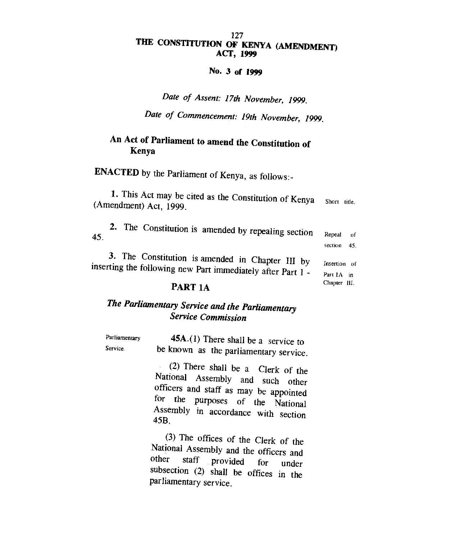#### 127 **THE CONSTITUTION OF KENYA (AMENDMENT) ACT, 1999**

#### **No. 3 of 1999**

*Date of Assent: 17th November, 1999.* 

*Date of Commencement: 19th November, 1999.* 

## **An Act of Parliament to amend the Constitution of Kenya**

**ENACTED** by the Parliament of Kenya, as follows:-

| 1. This Act may be cited as the Constitution of Kenya<br>(Amendment) Act, 1999.                                 | Short title.               |           |
|-----------------------------------------------------------------------------------------------------------------|----------------------------|-----------|
| 2. The Constitution is amended by repealing section<br>45.                                                      | Repeal<br>section          | of<br>45. |
| 3. The Constitution is amended in Chapter III by<br>inserting the following new Part immediately after Part 1 - | Insertion of<br>Part 1A in |           |
| . . <del>. .</del>                                                                                              | Chapter III.               |           |

#### **PART 1A**

## *The Parliamentary Service and the Parliamentary Service Commission*

| Parliamentary | <b>45A.</b> (1) There shall be a service to |
|---------------|---------------------------------------------|
| Service.      | be known as the parliamentary service.      |

(2) There shall be a Clerk of the National Assembly and such other officers and staff as may be appointed for the purposes of the National Assembly in accordance with section 45B.

(3) The offices of the Clerk of the National Assembly and the officers and<br>other staff provided for in other staff provided for under subsection (2) shall be offices in the parliamentary service.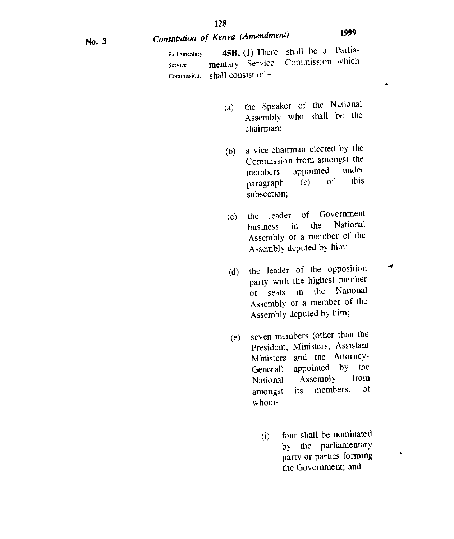# No. 3 *Constitution of Kenya (Amendment)* **<sup>1999</sup>**

 $\mathbf{A}$ 

 $\rightarrow$ 

×,

Parliamentary Service Commission. **45B.** (1) There shall be a Parliamentary Service shall consist of -

- (a) the Speaker of the National Assembly who shall be the chairman;
- (b) a vice-chairman elected by the Commission from amongst the members appointed under<br>narrannh (e) of this  $\text{paragnh}$  (e) of subsection;
- the leader of Government<br>business in the National business in the Assembly or a member of the Assembly deputed by him; (c)
- (d) the leader of the opposition party with the highest number of seats in the National Assembly or a member of the Assembly deputed by him;
- (e) seven members (other than the President, Ministers, Assistant Ministers and the Attorney-General) appointed by the<br>National Assembly from National Assembly from<br>amongst its members, of amongst its members, whom-
	- (i) four shall be nominated by the parliamentary party or parties forming the Government; and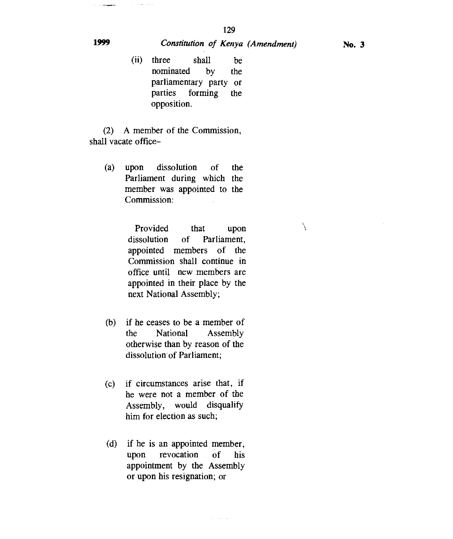### **1999** *Constitution of Kenya (Amendment)* **No. 3**

 $\overline{\phantom{a}}$ 

بقاطعا للرواد الرواد

(ii) three shall be nominated by the parliamentary party or parties forming the opposition.

(2) A member of the Commission, shall vacate office-

(a) upon dissolution of the Parliament during which the member was appointed to the Commission:

> Provided that upon dissolution of Parliament, appointed members of the Commission shall continue in office until new members are appointed in their place by the next National Assembly;

- (b) if he ceases to be a member of the National Assembly otherwise than by reason of the dissolution of Parliament;
- (c) if circumstances arise that, if he were not a member of the Assembly, would disqualify him for election as such;
- (d) if he is an appointed member, upon revocation of his appointment by the Assembly or upon his resignation; or

X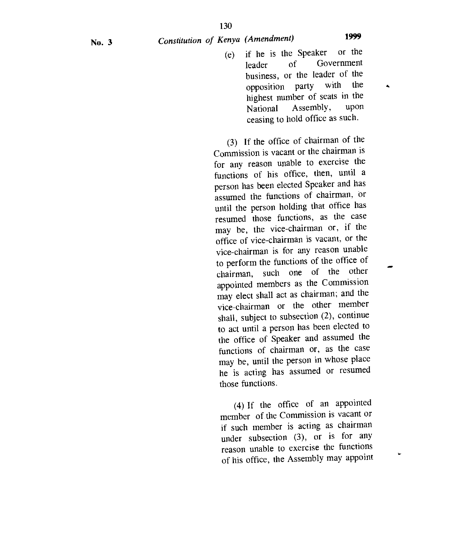No. 3 *Constitution of Kenya (Amendment)* **<sup>1999</sup>**

- 
- (e) if he is the Speaker or the leader of Government business, or the leader of the<br>opposition party with the opposition party with highest number of seats in the<br>National Assembly, upon National Assembly, ceasing to hold office as such.

(3) If the office of chairman of the Commission is vacant or the chairman is for any reason unable to exercise the functions of his office, then, until a person has been elected Speaker and has assumed the functions of chairman, or until the person holding that office has resumed those functions, as the case may be, the vice-chairman or, if the office of vice-chairman is vacant, or the vice-chairman is for any reason unable to perform the functions of the office of chairman, such one of the other appointed members as the Commission may elect shall act as chairman; and the vice-chairman or the other member shall, subject to subsection (2), continue to act until a person has been elected to the office of Speaker and assumed the functions of chairman or, as the case may be, until the person in whose place he is acting has assumed or resumed those functions.

(4) If the office of an appointed member of the Commission is vacant or if such member is acting as chairman under subsection (3), or is for any reason unable to exercise the functions of his office, the Assembly may appoint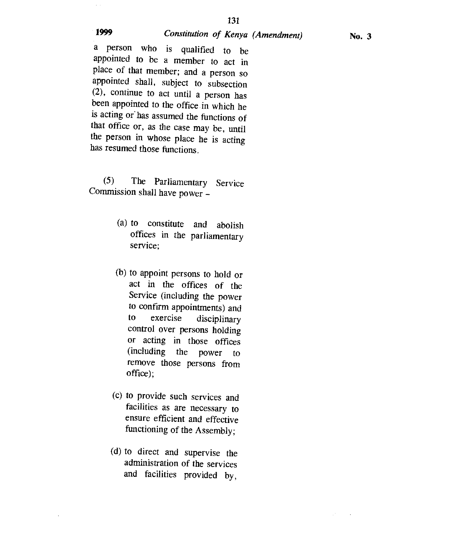## **<sup>1999</sup>***Constitution of Kenya (Amendment)* No. 3

a person who is qualified to be appointed to be a member to act in place of that member; and a person so appointed shall, subject to subsection (2), continue to act until a person has been appointed to the office in which he is acting or has assumed the functions of that office or, as the case may be, until the person in whose place he is acting has resumed those functions.

(5) The Parliamentary Service Commission shall have power —

- (a) to constitute and abolish offices in the parliamentary service;
- (b) to appoint persons to hold or act in the offices of the Service (including the power to confirm appointments) and<br>to exercise disciplinary to exercise disciplinary control over persons holding or acting in those offices (including the power to remove those persons from office);
- (c) to provide such services and facilities as are necessary to ensure efficient and effective functioning of the Assembly;
- (d) to direct and supervise the administration of the services and facilities provided by,

 $\bar{\mathcal{A}}$ 

 $\bar{z}$  .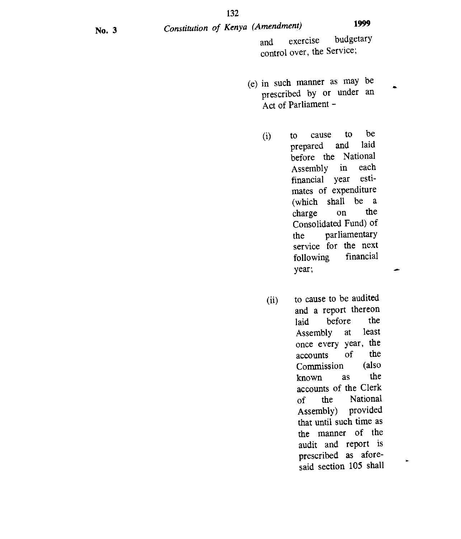No. 3 *Constitution of Kenya (Amendment)* **<sup>1999</sup>** and exercise budgetary control over, the Service;

- (e) in such manner as may be prescribed by or under an Act of Parliament -
	- (i) to cause to be<br>prepared and laid prepared before the National Assembly in each financial year estimates of expenditure (which shall be a<br>charge on the charge on Consolidated Fund) of the parliamentary service for the next<br>following financial following year;
	- (ii) to cause to be audited and a report thereon<br>laid before the laid before the<br>Assembly at least Assembly at once every year, the<br>accounts of the accounts of the<br>Commission (also Commission known as the accounts of the Clerk of the National Assembly) provided that until such time as the manner of the audit and report is prescribed as aforesaid section 105 shall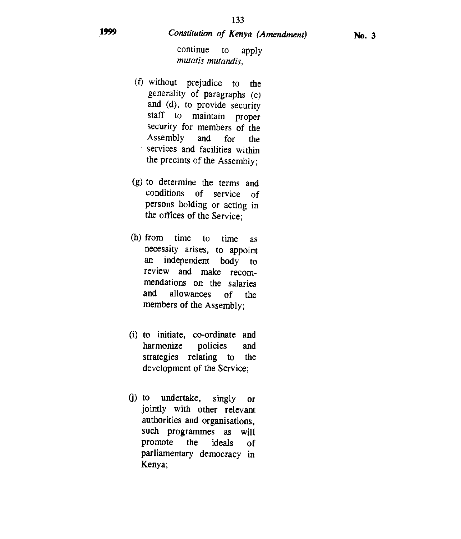continue to apply *mutatis mutandis;* 

- (1) without prejudice to the generality of paragraphs (c) and (d), to provide security staff to maintain proper security for members of the Assembly and for the services and facilities within the precints of the Assembly;
- (g) to determine the terms and conditions of service of persons holding or acting in the offices of the Service;
- (h) from time to time as necessity arises, to appoint an independent body to review and make recommendations on the salaries and allowances of the members of the Assembly;
- (i) to initiate, co-ordinate and harmonize policies and strategies relating to the development of the Service;
- (j) to undertake, singly or jointly with other relevant authorities and organisations, such programmes as will promote the ideals of parliamentary democracy in Kenya;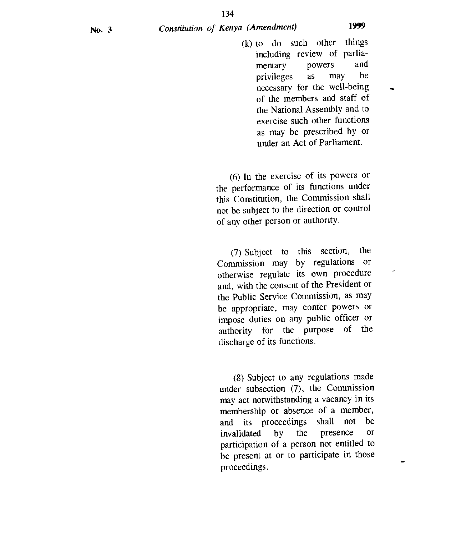(k) to do such other things including review of parliamentary powers and privileges as may be necessary for the well-being of the members and staff of the National Assembly and to exercise such other functions as may be prescribed by or under an Act of Parliament.

(6) In the exercise of its powers or the performance of its functions under this Constitution, the Commission shall not be subject to the direction or control of any other person or authority.

(7) Subject to this section, the Commission may by regulations or otherwise regulate its own procedure and, with the consent of the President or the Public Service Commission, as may be appropriate, may confer powers or impose duties on any public officer or authority for the purpose of the discharge of its functions.

(8) Subject to any regulations made under subsection (7), the Commission may act notwithstanding a vacancy in its membership or absence of a member, and its proceedings shall not be invalidated by the presence or participation of a person not entitled to be present at or to participate in those proceedings.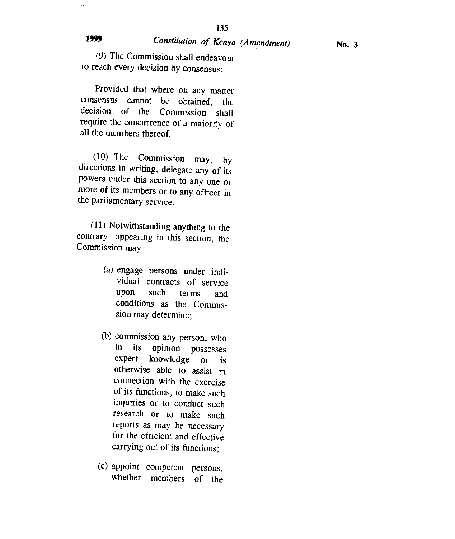i. ÷.

# **<sup>1999</sup>***Constitution of Kenya (Amendment)* No. 3

(9) The Commission shall endeavour to reach every decision by consensus:

Provided that where on any matter consensus cannot be obtained, the decision of the Commission shall require the concurrence of a majority of all the members thereof.

(10) The Commission may, by directions in writing, delegate any of its powers under this section to any one or more of its members or to any officer in the parliamentary service.

(11) Notwithstanding anything to the contrary appearing in this section, the Commission may -

- (a) engage persons under individual contracts of service upon such terms and conditions as the Commission may determine;
- (b) commission any person, who in its opinion possesses expert knowledge or is otherwise able to assist in connection with the exercise of its functions, to make such inquiries or to conduct such research or to make such reports as may be necessary for the efficient and effective carrying out of its functions;
- (c) appoint competent persons, whether members of the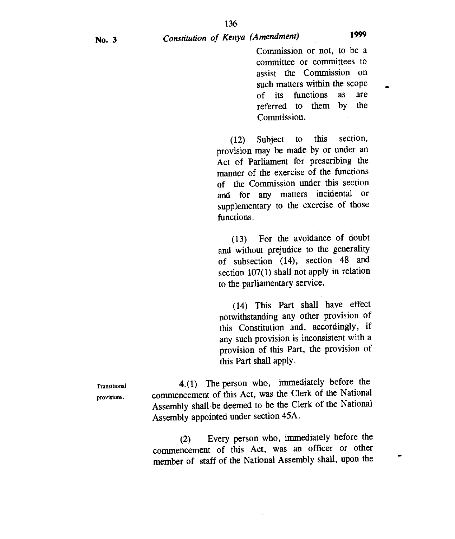Commission or not, to be a committee or committees to assist the Commission on such matters within the scope of its functions as are<br>referred to them by the referred to them by Commission.

(12) Subject to this section, provision may be made by or under an Act of Parliament for prescribing the manner of the exercise of the functions of the Commission under this section and for any matters incidental or supplementary to the exercise of those functions.

(13) For the avoidance of doubt and without prejudice to the generality of subsection (14), section 48 and section 107(1) shall not apply in relation to the parliamentary service.

(14) This Part shall have effect notwithstanding any other provision of this Constitution and, accordingly, if any such provision is inconsistent with a provision of this Part, the provision of this Part shall apply.

Transitional 4.(1) The person who, immediately before the provisions. commencement of this Act, was the Clerk of the National Assembly shall be deemed to be the Clerk of the National Assembly appointed under section 45A.

> (2) Every person who, immediately before the commencement of this Act, was an officer or other member of staff of the National Assembly shall, upon the